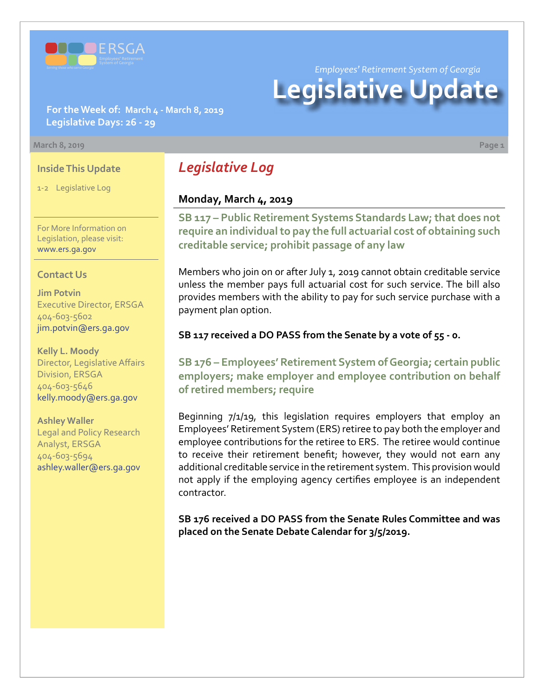

*Employees' Retirement System of Georgia*

# **Legislative Update**

**For the Week of: March 4 - March 8, 2019 Legislative Days: 26 - 29**

#### **March 8, 2019 Page 1**

#### **Inside This Update**

1-2 Legislative Log

For More Information on Legislation, please visit: [www.ers.ga.gov](http://www.ers.ga.gov/)

#### **Contact Us**

**Jim Potvin** Executive Director, ERSGA 404-603-5602 jim.potvin@ers.ga.gov

**Kelly L. Moody** Director, Legislative Affairs Division, ERSGA 404-603-5646 kelly.moody@ers.ga.gov

**Ashley Waller** Legal and Policy Research Analyst, ERSGA 404-603-5694 ashley.waller@ers.ga.gov

# *Legislative Log*

## **Monday, March 4, 2019**

**SB 117 [– P](http://www.legis.ga.gov/legislation/en-US/Display/20192020/SB/117)ublic Retirement Systems Standards Law; that does not require an individual to pay the full actuarial cost of obtaining such creditable service; prohibit passage of any law**

Members who join on or after July 1, 2019 cannot obtain creditable service unless the member pays full actuarial cost for such service. The bill also provides members with the ability to pay for such service purchase with a payment plan option.

#### **SB 117 received a DO PASS from the Senate by a vote of 55 - 0.**

**SB 17[6 – E](http://www.legis.ga.gov/legislation/en-US/Display/20192020/SB/176)mployees' Retirement System of Georgia; certain public employers; make employer and employee contribution on behalf of retired members; require**

Beginning 7/1/19, this legislation requires employers that employ an Employees' Retirement System (ERS) retiree to pay both the employer and employee contributions for the retiree to ERS. The retiree would continue to receive their retirement benefit; however, they would not earn any additional creditable service in the retirement system. This provision would not apply if the employing agency certifies employee is an independent contractor.

**SB 176 received a DO PASS from the Senate Rules Committee and was placed on the Senate Debate Calendar for 3/5/2019.**